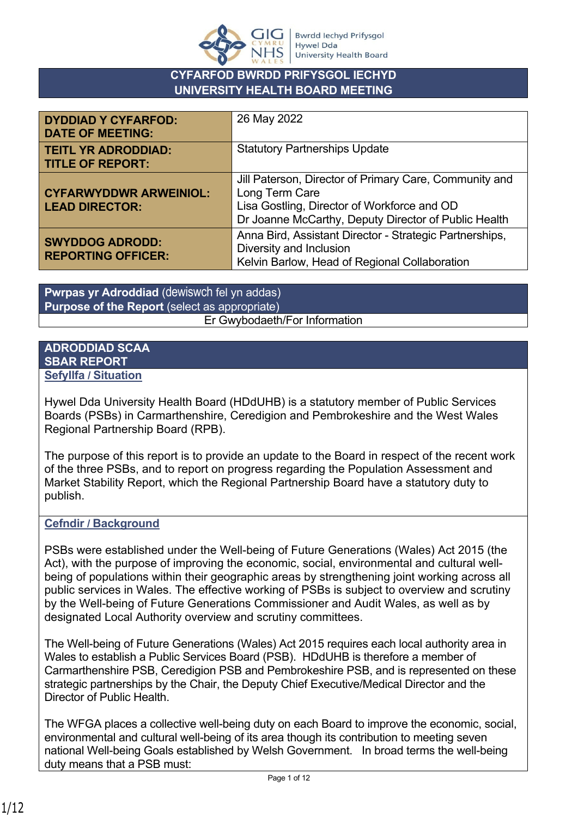

# **CYFARFOD BWRDD PRIFYSGOL IECHYD UNIVERSITY HEALTH BOARD MEETING**

| <b>DYDDIAD Y CYFARFOD:</b><br><b>DATE OF MEETING:</b>  | 26 May 2022                                                                                                                                                                     |
|--------------------------------------------------------|---------------------------------------------------------------------------------------------------------------------------------------------------------------------------------|
| <b>TEITL YR ADRODDIAD:</b><br><b>TITLE OF REPORT:</b>  | <b>Statutory Partnerships Update</b>                                                                                                                                            |
| <b>CYFARWYDDWR ARWEINIOL:</b><br><b>LEAD DIRECTOR:</b> | Jill Paterson, Director of Primary Care, Community and<br>Long Term Care<br>Lisa Gostling, Director of Workforce and OD<br>Dr Joanne McCarthy, Deputy Director of Public Health |
| <b>SWYDDOG ADRODD:</b><br><b>REPORTING OFFICER:</b>    | Anna Bird, Assistant Director - Strategic Partnerships,<br>Diversity and Inclusion<br>Kelvin Barlow, Head of Regional Collaboration                                             |

**Pwrpas yr Adroddiad** (dewiswch fel yn addas) **Purpose of the Report** (select as appropriate) Er Gwybodaeth/For Information

# **ADRODDIAD SCAA SBAR REPORT**

**Sefyllfa / Situation** 

Hywel Dda University Health Board (HDdUHB) is a statutory member of Public Services Boards (PSBs) in Carmarthenshire, Ceredigion and Pembrokeshire and the West Wales Regional Partnership Board (RPB).

The purpose of this report is to provide an update to the Board in respect of the recent work of the three PSBs, and to report on progress regarding the Population Assessment and Market Stability Report, which the Regional Partnership Board have a statutory duty to publish.

# **Cefndir / Background**

PSBs were established under the Well-being of Future Generations (Wales) Act 2015 (the Act), with the purpose of improving the economic, social, environmental and cultural wellbeing of populations within their geographic areas by strengthening joint working across all public services in Wales. The effective working of PSBs is subject to overview and scrutiny by the Well-being of Future Generations Commissioner and Audit Wales, as well as by designated Local Authority overview and scrutiny committees.

The Well-being of Future Generations (Wales) Act 2015 requires each local authority area in Wales to establish a Public Services Board (PSB). HDdUHB is therefore a member of Carmarthenshire PSB, Ceredigion PSB and Pembrokeshire PSB, and is represented on these strategic partnerships by the Chair, the Deputy Chief Executive/Medical Director and the Director of Public Health.

The WFGA places a collective well-being duty on each Board to improve the economic, social, environmental and cultural well-being of its area though its contribution to meeting seven national Well-being Goals established by Welsh Government. In broad terms the well-being duty means that a PSB must: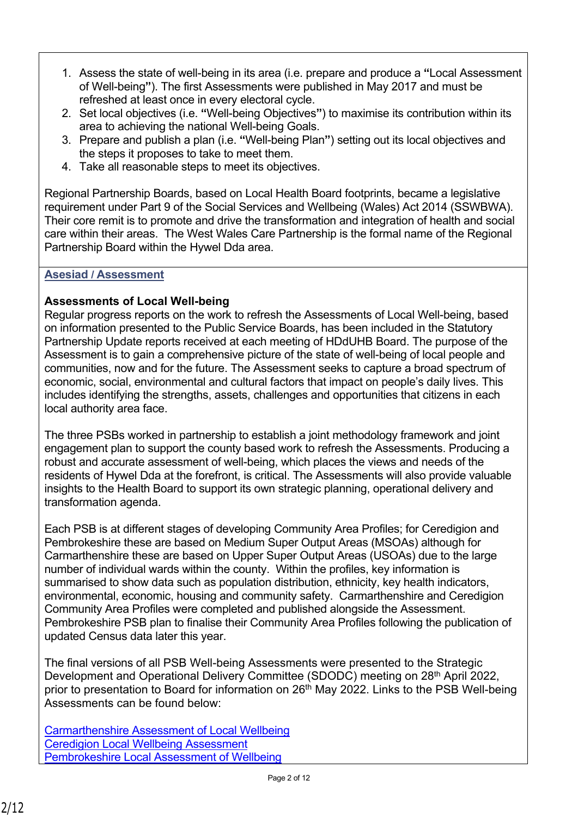- 1. Assess the state of well-being in its area (i.e. prepare and produce a **"**Local Assessment of Well-being**"**). The first Assessments were published in May 2017 and must be refreshed at least once in every electoral cycle.
- 2. Set local objectives (i.e. **"**Well-being Objectives**"**) to maximise its contribution within its area to achieving the national Well-being Goals.
- 3. Prepare and publish a plan (i.e. **"**Well-being Plan**"**) setting out its local objectives and the steps it proposes to take to meet them.
- 4. Take all reasonable steps to meet its objectives.

Regional Partnership Boards, based on Local Health Board footprints, became a legislative requirement under Part 9 of the Social Services and Wellbeing (Wales) Act 2014 (SSWBWA). Their core remit is to promote and drive the transformation and integration of health and social care within their areas. The West Wales Care Partnership is the formal name of the Regional Partnership Board within the Hywel Dda area.

# **Asesiad / Assessment**

# **Assessments of Local Well-being**

Regular progress reports on the work to refresh the Assessments of Local Well-being, based on information presented to the Public Service Boards, has been included in the Statutory Partnership Update reports received at each meeting of HDdUHB Board. The purpose of the Assessment is to gain a comprehensive picture of the state of well-being of local people and communities, now and for the future. The Assessment seeks to capture a broad spectrum of economic, social, environmental and cultural factors that impact on people's daily lives. This includes identifying the strengths, assets, challenges and opportunities that citizens in each local authority area face.

The three PSBs worked in partnership to establish a joint methodology framework and joint engagement plan to support the county based work to refresh the Assessments. Producing a robust and accurate assessment of well-being, which places the views and needs of the residents of Hywel Dda at the forefront, is critical. The Assessments will also provide valuable insights to the Health Board to support its own strategic planning, operational delivery and transformation agenda.

Each PSB is at different stages of developing Community Area Profiles; for Ceredigion and Pembrokeshire these are based on Medium Super Output Areas (MSOAs) although for Carmarthenshire these are based on Upper Super Output Areas (USOAs) due to the large number of individual wards within the county. Within the profiles, key information is summarised to show data such as population distribution, ethnicity, key health indicators, environmental, economic, housing and community safety. Carmarthenshire and Ceredigion Community Area Profiles were completed and published alongside the Assessment. Pembrokeshire PSB plan to finalise their Community Area Profiles following the publication of updated Census data later this year.

The final versions of all PSB Well-being Assessments were presented to the Strategic Development and Operational Delivery Committee (SDODC) meeting on 28th April 2022, prior to presentation to Board for information on 26<sup>th</sup> May 2022. Links to the PSB Well-being Assessments can be found below:

[Carmarthenshire Assessment of Local Wellbeing](https://hduhb.nhs.wales/about-us/your-health-board/board-meetings-2022/board-agenda-and-papers-26-may-2022/agenda-and-papers-26-may-2022/carmarthenshire-assessment-of-local-wellbeing-may-2022pdf/) [Ceredigion Local Wellbeing Assessment](https://hduhb.nhs.wales/about-us/your-health-board/board-meetings-2022/board-agenda-and-papers-26-may-2022/agenda-and-papers-26-may-2022/ceredigion-local-wellbeing-assessment-may-2022pdf/) [Pembrokeshire Local Assessment of Wellbeing](https://hduhb.nhs.wales/about-us/your-health-board/board-meetings-2022/board-agenda-and-papers-26-may-2022/agenda-and-papers-26-may-2022/pembrokeshire-assessment-of-local-wellbeing-may-2022pdf/)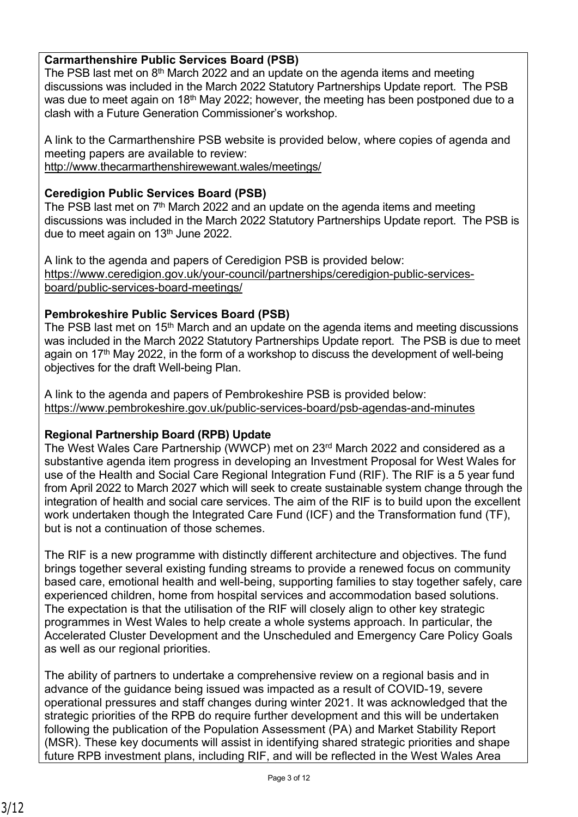# **Carmarthenshire Public Services Board (PSB)**

The PSB last met on  $8<sup>th</sup>$  March 2022 and an update on the agenda items and meeting discussions was included in the March 2022 Statutory Partnerships Update report. The PSB was due to meet again on 18<sup>th</sup> May 2022; however, the meeting has been postponed due to a clash with a Future Generation Commissioner's workshop.

A link to the Carmarthenshire PSB website is provided below, where copies of agenda and meeting papers are available to review:

<http://www.thecarmarthenshirewewant.wales/meetings/>

# **Ceredigion Public Services Board (PSB)**

The PSB last met on  $7<sup>th</sup>$  March 2022 and an update on the agenda items and meeting discussions was included in the March 2022 Statutory Partnerships Update report. The PSB is due to meet again on  $13<sup>th</sup>$  June 2022.

A link to the agenda and papers of Ceredigion PSB is provided below: [https://www.ceredigion.gov.uk/your-council/partnerships/ceredigion-public-services](https://www.ceredigion.gov.uk/your-council/partnerships/ceredigion-public-services-board/public-services-board-meetings/)[board/public-services-board-meetings/](https://www.ceredigion.gov.uk/your-council/partnerships/ceredigion-public-services-board/public-services-board-meetings/)

# **Pembrokeshire Public Services Board (PSB)**

The PSB last met on 15<sup>th</sup> March and an update on the agenda items and meeting discussions was included in the March 2022 Statutory Partnerships Update report. The PSB is due to meet again on 17<sup>th</sup> May 2022, in the form of a workshop to discuss the development of well-being objectives for the draft Well-being Plan.

A link to the agenda and papers of Pembrokeshire PSB is provided below: <https://www.pembrokeshire.gov.uk/public-services-board/psb-agendas-and-minutes>

# **Regional Partnership Board (RPB) Update**

The West Wales Care Partnership (WWCP) met on 23rd March 2022 and considered as a substantive agenda item progress in developing an Investment Proposal for West Wales for use of the Health and Social Care Regional Integration Fund (RIF). The RIF is a 5 year fund from April 2022 to March 2027 which will seek to create sustainable system change through the integration of health and social care services. The aim of the RIF is to build upon the excellent work undertaken though the Integrated Care Fund (ICF) and the Transformation fund (TF), but is not a continuation of those schemes.

The RIF is a new programme with distinctly different architecture and objectives. The fund brings together several existing funding streams to provide a renewed focus on community based care, emotional health and well-being, supporting families to stay together safely, care experienced children, home from hospital services and accommodation based solutions. The expectation is that the utilisation of the RIF will closely align to other key strategic programmes in West Wales to help create a whole systems approach. In particular, the Accelerated Cluster Development and the Unscheduled and Emergency Care Policy Goals as well as our regional priorities.

The ability of partners to undertake a comprehensive review on a regional basis and in advance of the guidance being issued was impacted as a result of COVID-19, severe operational pressures and staff changes during winter 2021. It was acknowledged that the strategic priorities of the RPB do require further development and this will be undertaken following the publication of the Population Assessment (PA) and Market Stability Report (MSR). These key documents will assist in identifying shared strategic priorities and shape future RPB investment plans, including RIF, and will be reflected in the West Wales Area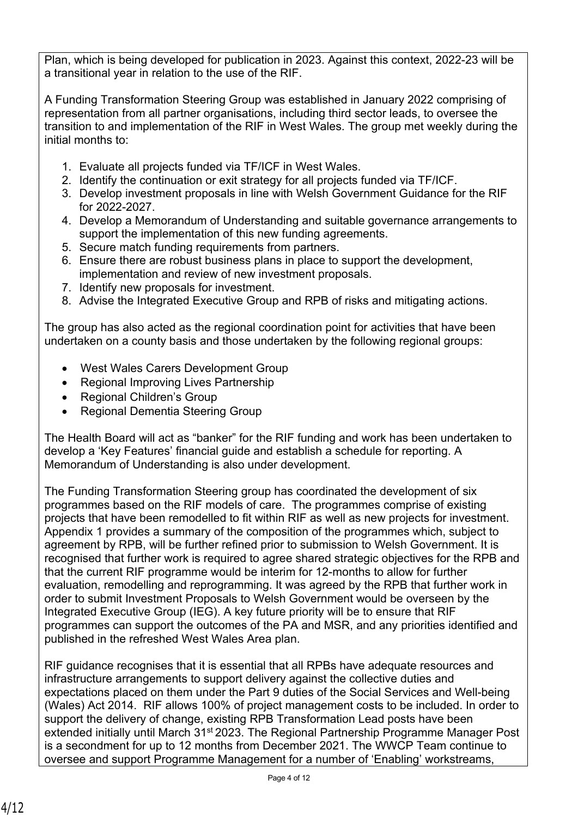Plan, which is being developed for publication in 2023. Against this context, 2022-23 will be a transitional year in relation to the use of the RIF.

A Funding Transformation Steering Group was established in January 2022 comprising of representation from all partner organisations, including third sector leads, to oversee the transition to and implementation of the RIF in West Wales. The group met weekly during the initial months to:

- 1. Evaluate all projects funded via TF/ICF in West Wales.
- 2. Identify the continuation or exit strategy for all projects funded via TF/ICF.
- 3. Develop investment proposals in line with Welsh Government Guidance for the RIF for 2022-2027.
- 4. Develop a Memorandum of Understanding and suitable governance arrangements to support the implementation of this new funding agreements.
- 5. Secure match funding requirements from partners.
- 6. Ensure there are robust business plans in place to support the development, implementation and review of new investment proposals.
- 7. Identify new proposals for investment.
- 8. Advise the Integrated Executive Group and RPB of risks and mitigating actions.

The group has also acted as the regional coordination point for activities that have been undertaken on a county basis and those undertaken by the following regional groups:

- West Wales Carers Development Group
- Regional Improving Lives Partnership
- Regional Children's Group
- Regional Dementia Steering Group

The Health Board will act as "banker" for the RIF funding and work has been undertaken to develop a 'Key Features' financial guide and establish a schedule for reporting. A Memorandum of Understanding is also under development.

The Funding Transformation Steering group has coordinated the development of six programmes based on the RIF models of care. The programmes comprise of existing projects that have been remodelled to fit within RIF as well as new projects for investment. Appendix 1 provides a summary of the composition of the programmes which, subject to agreement by RPB, will be further refined prior to submission to Welsh Government. It is recognised that further work is required to agree shared strategic objectives for the RPB and that the current RIF programme would be interim for 12-months to allow for further evaluation, remodelling and reprogramming. It was agreed by the RPB that further work in order to submit Investment Proposals to Welsh Government would be overseen by the Integrated Executive Group (IEG). A key future priority will be to ensure that RIF programmes can support the outcomes of the PA and MSR, and any priorities identified and published in the refreshed West Wales Area plan.

RIF guidance recognises that it is essential that all RPBs have adequate resources and infrastructure arrangements to support delivery against the collective duties and expectations placed on them under the Part 9 duties of the Social Services and Well-being (Wales) Act 2014. RIF allows 100% of project management costs to be included. In order to support the delivery of change, existing RPB Transformation Lead posts have been extended initially until March 31<sup>st</sup> 2023. The Regional Partnership Programme Manager Post is a secondment for up to 12 months from December 2021. The WWCP Team continue to oversee and support Programme Management for a number of 'Enabling' workstreams,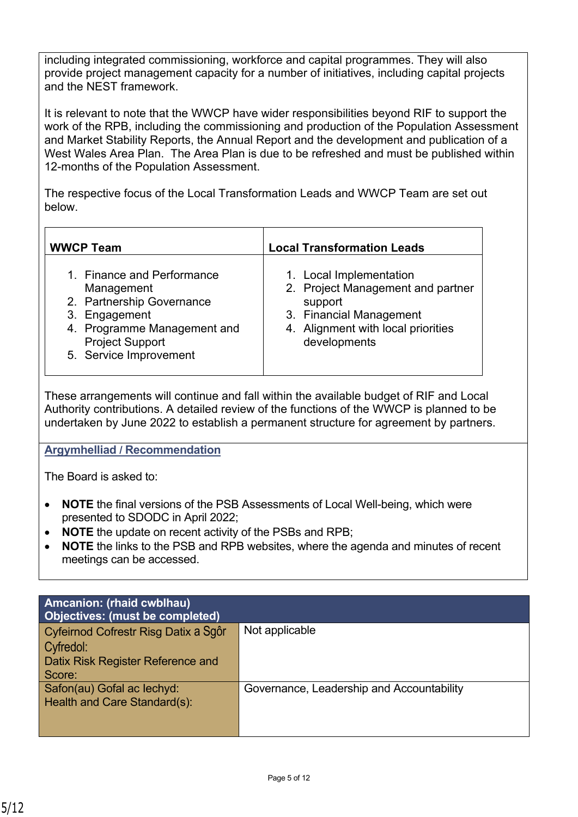including integrated commissioning, workforce and capital programmes. They will also provide project management capacity for a number of initiatives, including capital projects and the NEST framework.

It is relevant to note that the WWCP have wider responsibilities beyond RIF to support the work of the RPB, including the commissioning and production of the Population Assessment and Market Stability Reports, the Annual Report and the development and publication of a West Wales Area Plan. The Area Plan is due to be refreshed and must be published within 12-months of the Population Assessment.

The respective focus of the Local Transformation Leads and WWCP Team are set out below.

| <b>WWCP Team</b>                                                                                                                                                          | <b>Local Transformation Leads</b>                                                                                                                        |
|---------------------------------------------------------------------------------------------------------------------------------------------------------------------------|----------------------------------------------------------------------------------------------------------------------------------------------------------|
| 1. Finance and Performance<br>Management<br>2. Partnership Governance<br>3. Engagement<br>4. Programme Management and<br><b>Project Support</b><br>5. Service Improvement | 1. Local Implementation<br>2. Project Management and partner<br>support<br>3. Financial Management<br>4. Alignment with local priorities<br>developments |

These arrangements will continue and fall within the available budget of RIF and Local Authority contributions. A detailed review of the functions of the WWCP is planned to be undertaken by June 2022 to establish a permanent structure for agreement by partners.

# **Argymhelliad / Recommendation**

The Board is asked to:

- **NOTE** the final versions of the PSB Assessments of Local Well-being, which were presented to SDODC in April 2022;
- **NOTE** the update on recent activity of the PSBs and RPB;
- **NOTE** the links to the PSB and RPB websites, where the agenda and minutes of recent meetings can be accessed.

| Amcanion: (rhaid cwblhau)<br>Objectives: (must be completed)                                     |                                           |
|--------------------------------------------------------------------------------------------------|-------------------------------------------|
| Cyfeirnod Cofrestr Risg Datix a Sgôr<br>Cyfredol:<br>Datix Risk Register Reference and<br>Score: | Not applicable                            |
| Safon(au) Gofal ac lechyd:<br>Health and Care Standard(s):                                       | Governance, Leadership and Accountability |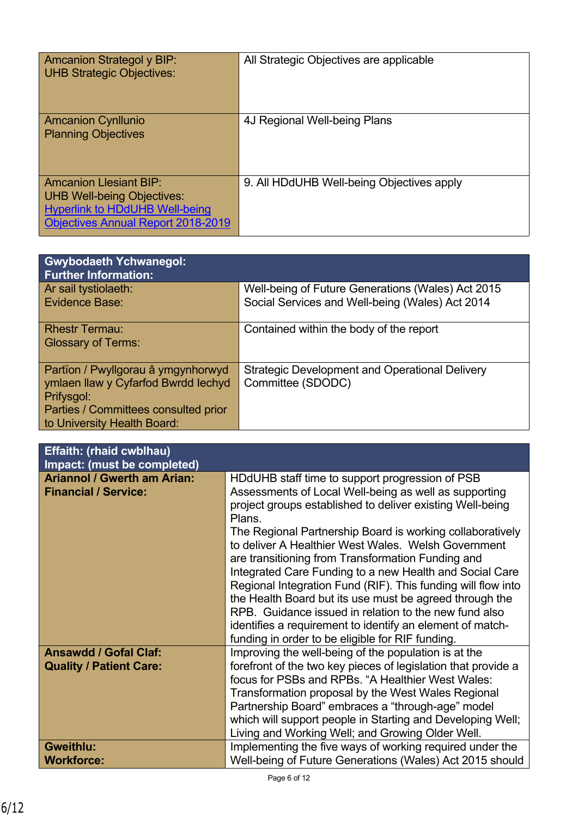| <b>Amcanion Strategol y BIP:</b><br><b>UHB Strategic Objectives:</b>                                                                                     | All Strategic Objectives are applicable   |
|----------------------------------------------------------------------------------------------------------------------------------------------------------|-------------------------------------------|
| <b>Amcanion Cynllunio</b><br><b>Planning Objectives</b>                                                                                                  | 4J Regional Well-being Plans              |
| <b>Amcanion Llesiant BIP:</b><br><b>UHB Well-being Objectives:</b><br><b>Hyperlink to HDdUHB Well-being</b><br><b>Objectives Annual Report 2018-2019</b> | 9. All HDdUHB Well-being Objectives apply |

| <b>Gwybodaeth Ychwanegol:</b><br><b>Further Information:</b>                                                                    |                                                                                                      |
|---------------------------------------------------------------------------------------------------------------------------------|------------------------------------------------------------------------------------------------------|
| Ar sail tystiolaeth:<br>Evidence Base:                                                                                          | Well-being of Future Generations (Wales) Act 2015<br>Social Services and Well-being (Wales) Act 2014 |
| <b>Rhestr Termau:</b><br><b>Glossary of Terms:</b>                                                                              | Contained within the body of the report                                                              |
| Partïon / Pwyllgorau â ymgynhorwyd<br>ymlaen llaw y Cyfarfod Bwrdd Iechyd<br>Prifysgol:<br>Parties / Committees consulted prior | <b>Strategic Development and Operational Delivery</b><br>Committee (SDODC)                           |
| to University Health Board:                                                                                                     |                                                                                                      |

| <b>Effaith: (rhaid cwblhau)</b><br>Impact: (must be completed)    |                                                                                                                                                                                                                                                                                                                                                                                                                                                                                                                                                                                                                                                                                                                          |
|-------------------------------------------------------------------|--------------------------------------------------------------------------------------------------------------------------------------------------------------------------------------------------------------------------------------------------------------------------------------------------------------------------------------------------------------------------------------------------------------------------------------------------------------------------------------------------------------------------------------------------------------------------------------------------------------------------------------------------------------------------------------------------------------------------|
| <b>Ariannol / Gwerth am Arian:</b><br><b>Financial / Service:</b> | HDdUHB staff time to support progression of PSB<br>Assessments of Local Well-being as well as supporting<br>project groups established to deliver existing Well-being<br>Plans.<br>The Regional Partnership Board is working collaboratively<br>to deliver A Healthier West Wales. Welsh Government<br>are transitioning from Transformation Funding and<br>Integrated Care Funding to a new Health and Social Care<br>Regional Integration Fund (RIF). This funding will flow into<br>the Health Board but its use must be agreed through the<br>RPB. Guidance issued in relation to the new fund also<br>identifies a requirement to identify an element of match-<br>funding in order to be eligible for RIF funding. |
| <b>Ansawdd / Gofal Claf:</b><br><b>Quality / Patient Care:</b>    | Improving the well-being of the population is at the<br>forefront of the two key pieces of legislation that provide a<br>focus for PSBs and RPBs. "A Healthier West Wales:<br>Transformation proposal by the West Wales Regional<br>Partnership Board" embraces a "through-age" model<br>which will support people in Starting and Developing Well;<br>Living and Working Well; and Growing Older Well.                                                                                                                                                                                                                                                                                                                  |
| <b>Gweithlu:</b><br><b>Workforce:</b>                             | Implementing the five ways of working required under the<br>Well-being of Future Generations (Wales) Act 2015 should                                                                                                                                                                                                                                                                                                                                                                                                                                                                                                                                                                                                     |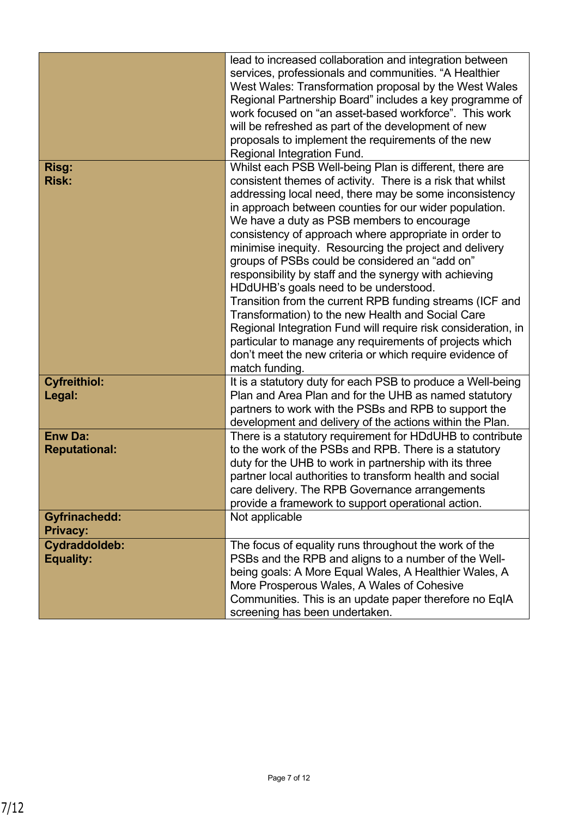|                                         | lead to increased collaboration and integration between<br>services, professionals and communities. "A Healthier<br>West Wales: Transformation proposal by the West Wales<br>Regional Partnership Board" includes a key programme of<br>work focused on "an asset-based workforce". This work<br>will be refreshed as part of the development of new<br>proposals to implement the requirements of the new<br>Regional Integration Fund.                                                                                                                                                                                                                                                                                                                                                                                                                                                   |
|-----------------------------------------|--------------------------------------------------------------------------------------------------------------------------------------------------------------------------------------------------------------------------------------------------------------------------------------------------------------------------------------------------------------------------------------------------------------------------------------------------------------------------------------------------------------------------------------------------------------------------------------------------------------------------------------------------------------------------------------------------------------------------------------------------------------------------------------------------------------------------------------------------------------------------------------------|
| Risg:<br><b>Risk:</b>                   | Whilst each PSB Well-being Plan is different, there are<br>consistent themes of activity. There is a risk that whilst<br>addressing local need, there may be some inconsistency<br>in approach between counties for our wider population.<br>We have a duty as PSB members to encourage<br>consistency of approach where appropriate in order to<br>minimise inequity. Resourcing the project and delivery<br>groups of PSBs could be considered an "add on"<br>responsibility by staff and the synergy with achieving<br>HDdUHB's goals need to be understood.<br>Transition from the current RPB funding streams (ICF and<br>Transformation) to the new Health and Social Care<br>Regional Integration Fund will require risk consideration, in<br>particular to manage any requirements of projects which<br>don't meet the new criteria or which require evidence of<br>match funding. |
| <b>Cyfreithiol:</b><br>Legal:           | It is a statutory duty for each PSB to produce a Well-being<br>Plan and Area Plan and for the UHB as named statutory<br>partners to work with the PSBs and RPB to support the<br>development and delivery of the actions within the Plan.                                                                                                                                                                                                                                                                                                                                                                                                                                                                                                                                                                                                                                                  |
| <b>Enw Da:</b><br><b>Reputational:</b>  | There is a statutory requirement for HDdUHB to contribute<br>to the work of the PSBs and RPB. There is a statutory<br>duty for the UHB to work in partnership with its three<br>partner local authorities to transform health and social<br>care delivery. The RPB Governance arrangements<br>provide a framework to support operational action.                                                                                                                                                                                                                                                                                                                                                                                                                                                                                                                                           |
| <b>Gyfrinachedd:</b><br><b>Privacy:</b> | Not applicable                                                                                                                                                                                                                                                                                                                                                                                                                                                                                                                                                                                                                                                                                                                                                                                                                                                                             |
| Cydraddoldeb:<br><b>Equality:</b>       | The focus of equality runs throughout the work of the<br>PSBs and the RPB and aligns to a number of the Well-<br>being goals: A More Equal Wales, A Healthier Wales, A<br>More Prosperous Wales, A Wales of Cohesive<br>Communities. This is an update paper therefore no EqIA<br>screening has been undertaken.                                                                                                                                                                                                                                                                                                                                                                                                                                                                                                                                                                           |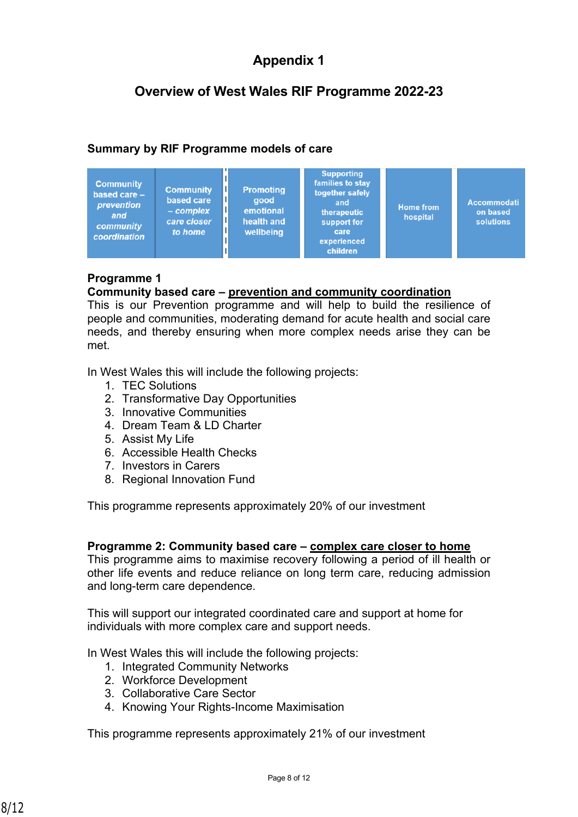# **Appendix 1**

# **Overview of West Wales RIF Programme 2022-23**

# **Summary by RIF Programme models of care**

| <b>Community</b><br>based care -<br>prevention<br>and<br>community<br>coordination | <b>Community</b><br>based care<br>$-$ complex<br>care closer<br>to home | <b>Promoting</b><br>good<br>emotional<br>health and<br>wellbeing | <b>Supporting</b><br>families to stay<br>together safely<br>and<br>therapeutic<br>support for<br>care<br>experienced<br>children | <b>Home from</b><br>hospital | <b>Accommodati</b><br>on based<br>solutions |
|------------------------------------------------------------------------------------|-------------------------------------------------------------------------|------------------------------------------------------------------|----------------------------------------------------------------------------------------------------------------------------------|------------------------------|---------------------------------------------|
|------------------------------------------------------------------------------------|-------------------------------------------------------------------------|------------------------------------------------------------------|----------------------------------------------------------------------------------------------------------------------------------|------------------------------|---------------------------------------------|

### **Programme 1**

#### **Community based care – prevention and community coordination**

This is our Prevention programme and will help to build the resilience of people and communities, moderating demand for acute health and social care needs, and thereby ensuring when more complex needs arise they can be met.

In West Wales this will include the following projects:

- 1. TEC Solutions
- 2. Transformative Day Opportunities
- 3. Innovative Communities
- 4. Dream Team & LD Charter
- 5. Assist My Life
- 6. Accessible Health Checks
- 7. Investors in Carers
- 8. Regional Innovation Fund

This programme represents approximately 20% of our investment

#### **Programme 2: Community based care – complex care closer to home**

This programme aims to maximise recovery following a period of ill health or other life events and reduce reliance on long term care, reducing admission and long-term care dependence.

This will support our integrated coordinated care and support at home for individuals with more complex care and support needs.

In West Wales this will include the following projects:

- 1. Integrated Community Networks
- 2. Workforce Development
- 3. Collaborative Care Sector
- 4. Knowing Your Rights-Income Maximisation

This programme represents approximately 21% of our investment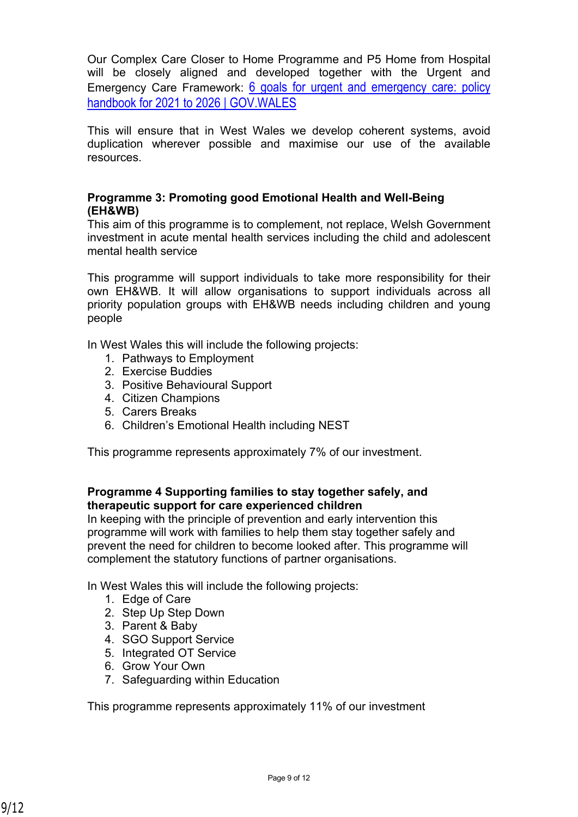Our Complex Care Closer to Home Programme and P5 Home from Hospital will be closely aligned and developed together with the Urgent and Emergency Care Framework: [6 goals for urgent and emergency care: policy](https://gov.wales/6-goals-urgent-and-emergency-care-policy-handbook-2021-2026)  [handbook for 2021 to 2026 | GOV.WALES](https://gov.wales/6-goals-urgent-and-emergency-care-policy-handbook-2021-2026)

This will ensure that in West Wales we develop coherent systems, avoid duplication wherever possible and maximise our use of the available resources.

### **Programme 3: Promoting good Emotional Health and Well-Being (EH&WB)**

This aim of this programme is to complement, not replace, Welsh Government investment in acute mental health services including the child and adolescent mental health service

This programme will support individuals to take more responsibility for their own EH&WB*.* It will allow organisations to support individuals across all priority population groups with EH&WB needs including children and young people

In West Wales this will include the following projects:

- 1. Pathways to Employment
- 2. Exercise Buddies
- 3. Positive Behavioural Support
- 4. Citizen Champions
- 5. Carers Breaks
- 6. Children's Emotional Health including NEST

This programme represents approximately 7% of our investment.

### **Programme 4 Supporting families to stay together safely, and therapeutic support for care experienced children**

In keeping with the principle of prevention and early intervention this programme will work with families to help them stay together safely and prevent the need for children to become looked after. This programme will complement the statutory functions of partner organisations.

In West Wales this will include the following projects:

- 1. Edge of Care
- 2. Step Up Step Down
- 3. Parent & Baby
- 4. SGO Support Service
- 5. Integrated OT Service
- 6. Grow Your Own
- 7. Safeguarding within Education

This programme represents approximately 11% of our investment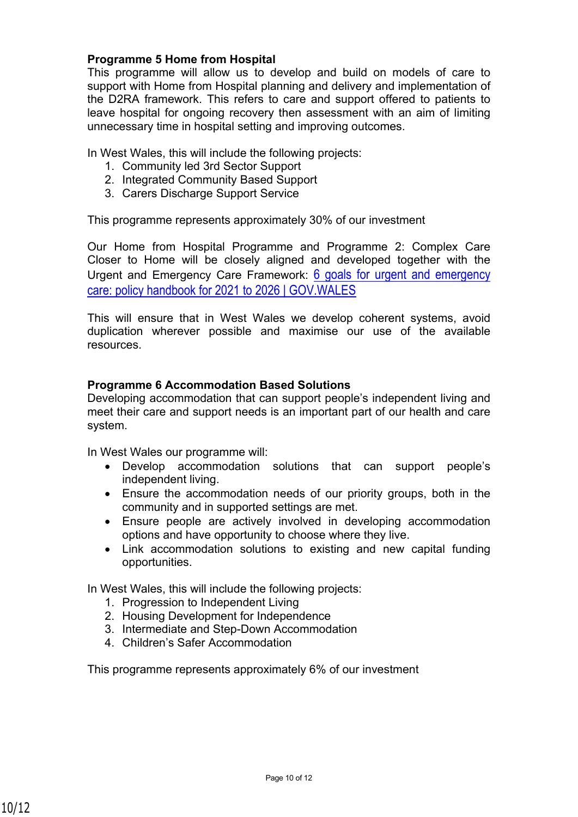#### **Programme 5 Home from Hospital**

This programme will allow us to develop and build on models of care to support with Home from Hospital planning and delivery and implementation of the D2RA framework. This refers to care and support offered to patients to leave hospital for ongoing recovery then assessment with an aim of limiting unnecessary time in hospital setting and improving outcomes.

In West Wales, this will include the following projects:

- 1. Community led 3rd Sector Support
- 2. Integrated Community Based Support
- 3. Carers Discharge Support Service

This programme represents approximately 30% of our investment

Our Home from Hospital Programme and Programme 2: Complex Care Closer to Home will be closely aligned and developed together with the Urgent and Emergency Care Framework: 6 goals for urgent and emergency [care: policy handbook for 2021 to 2026 | GOV.WALES](https://gov.wales/6-goals-urgent-and-emergency-care-policy-handbook-2021-2026)

This will ensure that in West Wales we develop coherent systems, avoid duplication wherever possible and maximise our use of the available resources.

#### **Programme 6 Accommodation Based Solutions**

Developing accommodation that can support people's independent living and meet their care and support needs is an important part of our health and care system.

In West Wales our programme will:

- Develop accommodation solutions that can support people's independent living.
- Ensure the accommodation needs of our priority groups, both in the community and in supported settings are met.
- Ensure people are actively involved in developing accommodation options and have opportunity to choose where they live.
- Link accommodation solutions to existing and new capital funding opportunities.

In West Wales, this will include the following projects:

- 1. Progression to Independent Living
- 2. Housing Development for Independence
- 3. Intermediate and Step-Down Accommodation
- 4. Children's Safer Accommodation

This programme represents approximately 6% of our investment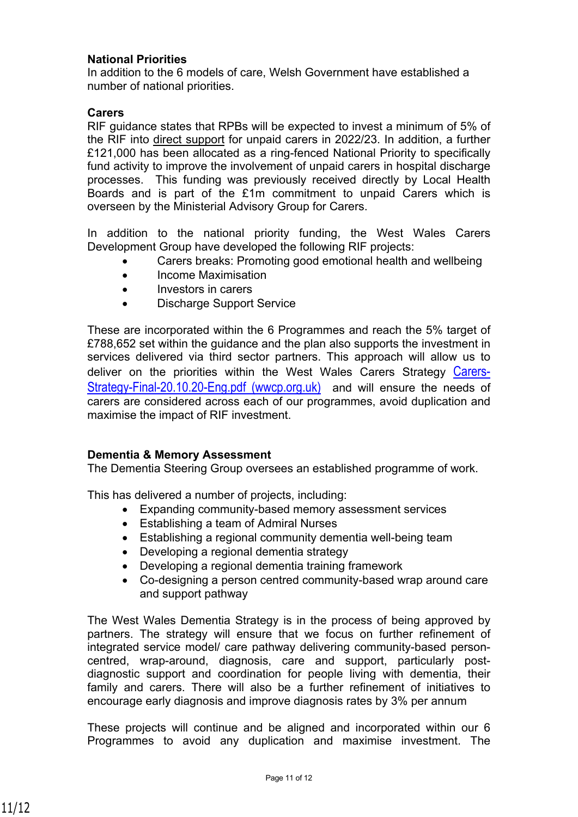#### **National Priorities**

In addition to the 6 models of care, Welsh Government have established a number of national priorities.

#### **Carers**

RIF guidance states that RPBs will be expected to invest a minimum of 5% of the RIF into direct support for unpaid carers in 2022/23. In addition, a further £121,000 has been allocated as a ring-fenced National Priority to specifically fund activity to improve the involvement of unpaid carers in hospital discharge processes. This funding was previously received directly by Local Health Boards and is part of the £1m commitment to unpaid Carers which is overseen by the Ministerial Advisory Group for Carers.

In addition to the national priority funding, the West Wales Carers Development Group have developed the following RIF projects:

- Carers breaks: Promoting good emotional health and wellbeing
- Income Maximisation
- Investors in carers
- Discharge Support Service

These are incorporated within the 6 Programmes and reach the 5% target of £788,652 set within the guidance and the plan also supports the investment in services delivered via third sector partners. This approach will allow us to deliver on the priorities within the West Wales Carers Strategy [Carers-](https://www.wwcp.org.uk/wp-content/uploads/2020/11/Carers-Strategy-Final-20.10.20-Eng.pdf)[Strategy-Final-20.10.20-Eng.pdf \(wwcp.org.uk\)](https://www.wwcp.org.uk/wp-content/uploads/2020/11/Carers-Strategy-Final-20.10.20-Eng.pdf) and will ensure the needs of carers are considered across each of our programmes, avoid duplication and maximise the impact of RIF investment.

#### **Dementia & Memory Assessment**

The Dementia Steering Group oversees an established programme of work.

This has delivered a number of projects, including:

- Expanding community-based memory assessment services
- Establishing a team of Admiral Nurses
- Establishing a regional community dementia well-being team
- Developing a regional dementia strategy
- Developing a regional dementia training framework
- Co-designing a person centred community-based wrap around care and support pathway

The West Wales Dementia Strategy is in the process of being approved by partners. The strategy will ensure that we focus on further refinement of integrated service model/ care pathway delivering community-based personcentred, wrap-around, diagnosis, care and support, particularly postdiagnostic support and coordination for people living with dementia, their family and carers. There will also be a further refinement of initiatives to encourage early diagnosis and improve diagnosis rates by 3% per annum

These projects will continue and be aligned and incorporated within our 6 Programmes to avoid any duplication and maximise investment. The